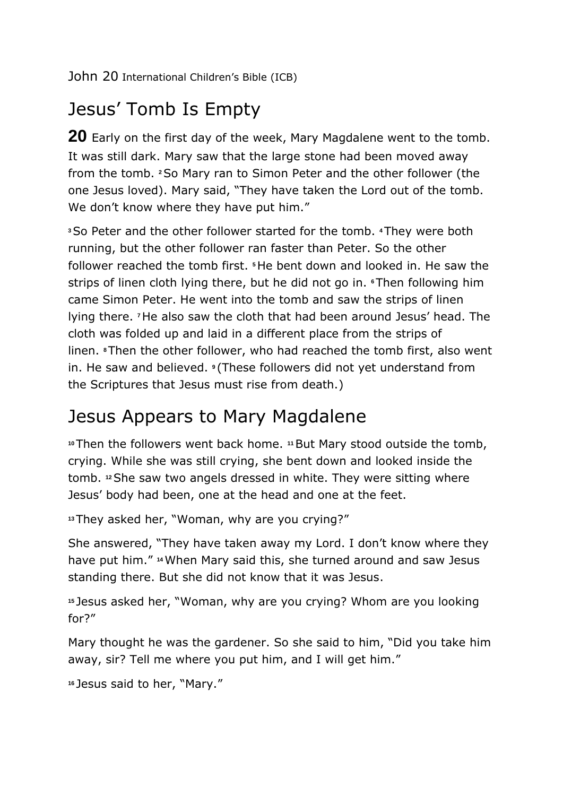# Jesus' Tomb Is Empty

**20** Early on the first day of the week, Mary Magdalene went to the tomb. It was still dark. Mary saw that the large stone had been moved away from the tomb. **<sup>2</sup>**So Mary ran to Simon Peter and the other follower (the one Jesus loved). Mary said, "They have taken the Lord out of the tomb. We don't know where they have put him."

**<sup>3</sup>**So Peter and the other follower started for the tomb. **<sup>4</sup>**They were both running, but the other follower ran faster than Peter. So the other follower reached the tomb first. **<sup>5</sup>**He bent down and looked in. He saw the strips of linen cloth lying there, but he did not go in. **<sup>6</sup>**Then following him came Simon Peter. He went into the tomb and saw the strips of linen lying there. **<sup>7</sup>**He also saw the cloth that had been around Jesus' head. The cloth was folded up and laid in a different place from the strips of linen. **<sup>8</sup>**Then the other follower, who had reached the tomb first, also went in. He saw and believed. **<sup>9</sup>** (These followers did not yet understand from the Scriptures that Jesus must rise from death.)

## Jesus Appears to Mary Magdalene

**<sup>10</sup>**Then the followers went back home. **<sup>11</sup>**But Mary stood outside the tomb, crying. While she was still crying, she bent down and looked inside the tomb. **<sup>12</sup>**She saw two angels dressed in white. They were sitting where Jesus' body had been, one at the head and one at the feet.

**<sup>13</sup>**They asked her, "Woman, why are you crying?"

She answered, "They have taken away my Lord. I don't know where they have put him." **<sup>14</sup>**When Mary said this, she turned around and saw Jesus standing there. But she did not know that it was Jesus.

**<sup>15</sup>** Jesus asked her, "Woman, why are you crying? Whom are you looking for?"

Mary thought he was the gardener. So she said to him, "Did you take him away, sir? Tell me where you put him, and I will get him."

```
16 Jesus said to her, "Mary."
```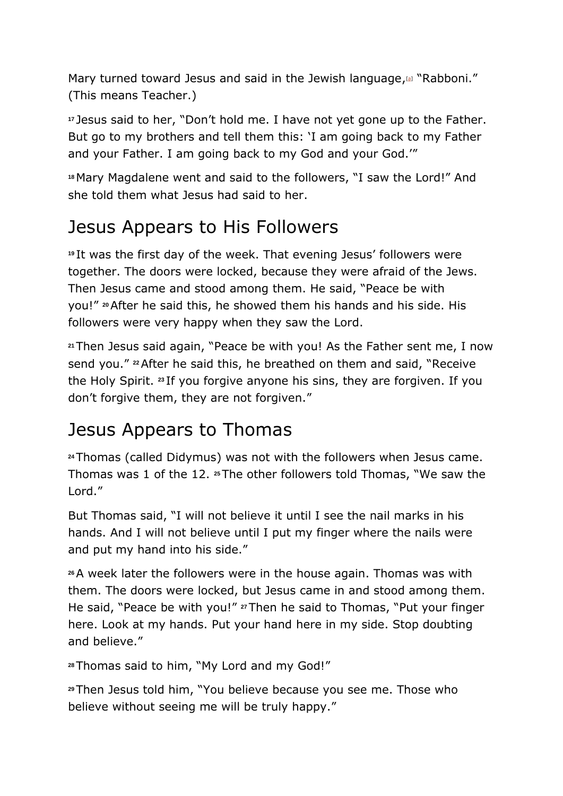Mary turned toward Jesus and said in the Jewish language,<sup>[\[a\]](https://www.biblegateway.com/passage/?search=John+20&version=ICB#fen-ICB-26765a)</sup> "Rabboni." (This means Teacher.)

**<sup>17</sup>** Jesus said to her, "Don't hold me. I have not yet gone up to the Father. But go to my brothers and tell them this: 'I am going back to my Father and your Father. I am going back to my God and your God.'"

**<sup>18</sup>** Mary Magdalene went and said to the followers, "I saw the Lord!" And she told them what Jesus had said to her.

#### Jesus Appears to His Followers

**<sup>19</sup>** It was the first day of the week. That evening Jesus' followers were together. The doors were locked, because they were afraid of the Jews. Then Jesus came and stood among them. He said, "Peace be with you!" **<sup>20</sup>**After he said this, he showed them his hands and his side. His followers were very happy when they saw the Lord.

**<sup>21</sup>**Then Jesus said again, "Peace be with you! As the Father sent me, I now send you." **<sup>22</sup>**After he said this, he breathed on them and said, "Receive the Holy Spirit. **<sup>23</sup>** If you forgive anyone his sins, they are forgiven. If you don't forgive them, they are not forgiven."

## Jesus Appears to Thomas

**<sup>24</sup>**Thomas (called Didymus) was not with the followers when Jesus came. Thomas was 1 of the 12. **<sup>25</sup>**The other followers told Thomas, "We saw the Lord."

But Thomas said, "I will not believe it until I see the nail marks in his hands. And I will not believe until I put my finger where the nails were and put my hand into his side."

**<sup>26</sup>**A week later the followers were in the house again. Thomas was with them. The doors were locked, but Jesus came in and stood among them. He said, "Peace be with you!" **<sup>27</sup>**Then he said to Thomas, "Put your finger here. Look at my hands. Put your hand here in my side. Stop doubting and believe."

**<sup>28</sup>**Thomas said to him, "My Lord and my God!"

**<sup>29</sup>**Then Jesus told him, "You believe because you see me. Those who believe without seeing me will be truly happy."